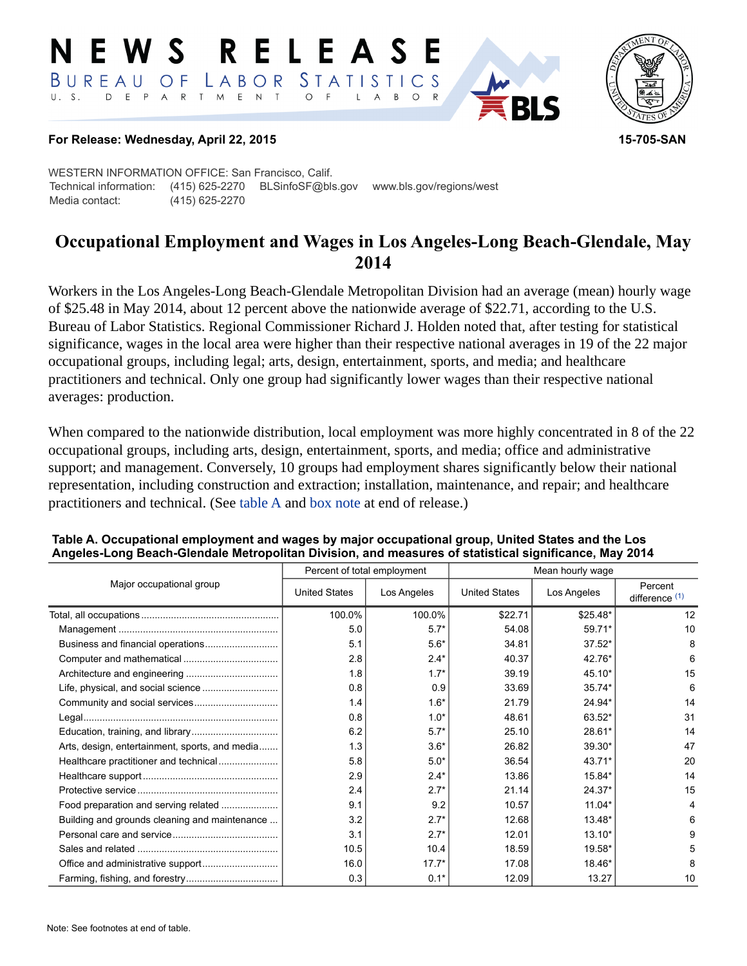#### E W S **RELEASE** LABOR STATISTICS BUREAU OF D E P A R T M E N T  $\circ$  $U. S.$  $F$  $\mathsf{L}$  $\overline{A}$  $B$  $O$  R



### **For Release: Wednesday, April 22, 2015 15-705-SAN**

WESTERN INFORMATION OFFICE: San Francisco, Calif. Technical information: (415) 625-2270 BLSinfoSF@bls.gov www.bls.gov/regions/west Media contact: (415) 625-2270

# **Occupational Employment and Wages in Los Angeles-Long Beach-Glendale, May 2014**

Workers in the Los Angeles-Long Beach-Glendale Metropolitan Division had an average (mean) hourly wage of \$25.48 in May 2014, about 12 percent above the nationwide average of \$22.71, according to the U.S. Bureau of Labor Statistics. Regional Commissioner Richard J. Holden noted that, after testing for statistical significance, wages in the local area were higher than their respective national averages in 19 of the 22 major occupational groups, including legal; arts, design, entertainment, sports, and media; and healthcare practitioners and technical. Only one group had significantly lower wages than their respective national averages: production.

When compared to the nationwide distribution, local employment was more highly concentrated in 8 of the 22 occupational groups, including arts, design, entertainment, sports, and media; office and administrative support; and management. Conversely, 10 groups had employment shares significantly below their national representation, including construction and extraction; installation, maintenance, and repair; and healthcare practitioners and technical. (See table A and [box note](#page-2-0) at end of release.)

|                                                |                      | Percent of total employment | Mean hourly wage     |             |                             |  |
|------------------------------------------------|----------------------|-----------------------------|----------------------|-------------|-----------------------------|--|
| Major occupational group                       | <b>United States</b> | Los Angeles                 | <b>United States</b> | Los Angeles | Percent<br>difference $(1)$ |  |
|                                                | 100.0%               | 100.0%                      | \$22.71              | \$25.48*    | 12                          |  |
|                                                | 5.0                  | $5.7*$                      | 54.08                | 59.71*      | 10                          |  |
| Business and financial operations              | 5.1                  | $5.6*$                      | 34.81                | $37.52*$    | 8                           |  |
|                                                | 2.8                  | $2.4*$                      | 40.37                | 42.76*      | 6                           |  |
|                                                | 1.8                  | $1.7*$                      | 39.19                | 45.10*      | 15                          |  |
|                                                | 0.8                  | 0.9                         | 33.69                | $35.74*$    | 6                           |  |
|                                                | 1.4                  | $1.6*$                      | 21.79                | 24.94*      | 14                          |  |
|                                                | 0.8                  | $1.0*$                      | 48.61                | 63.52*      | 31                          |  |
|                                                | 6.2                  | $5.7*$                      | 25.10                | 28.61*      | 14                          |  |
| Arts, design, entertainment, sports, and media | 1.3                  | $3.6*$                      | 26.82                | 39.30*      | 47                          |  |
| Healthcare practitioner and technical          | 5.8                  | $5.0*$                      | 36.54                | 43.71*      | 20                          |  |
|                                                | 2.9                  | $2.4*$                      | 13.86                | 15.84*      | 14                          |  |
|                                                | 2.4                  | $2.7*$                      | 21.14                | $24.37*$    | 15                          |  |
| Food preparation and serving related           | 9.1                  | 9.2                         | 10.57                | 11.04*      | 4                           |  |
| Building and grounds cleaning and maintenance  | 3.2                  | $2.7*$                      | 12.68                | 13.48*      | 6                           |  |
|                                                | 3.1                  | $2.7*$                      | 12.01                | 13.10*      | 9                           |  |
|                                                | 10.5                 | 10.4                        | 18.59                | 19.58*      | 5                           |  |
|                                                | 16.0                 | $17.7*$                     | 17.08                | 18.46*      | 8                           |  |
|                                                | 0.3                  | $0.1*$                      | 12.09                | 13.27       | 10                          |  |

### **Table A. Occupational employment and wages by major occupational group, United States and the Los Angeles-Long Beach-Glendale Metropolitan Division, and measures of statistical significance, May 2014**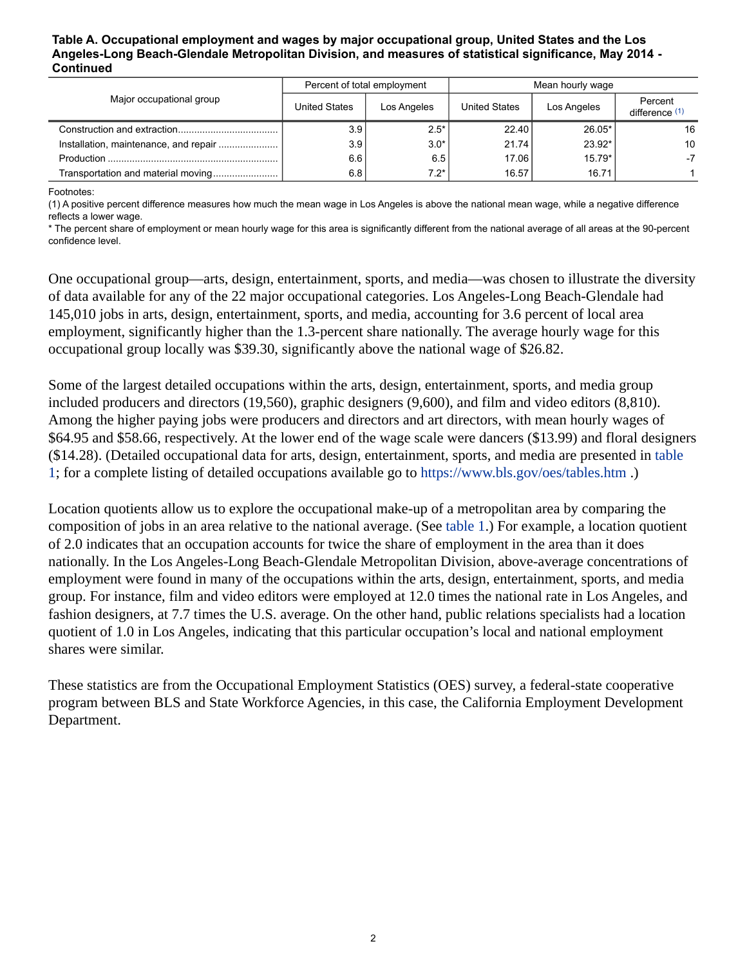#### **Table A. Occupational employment and wages by major occupational group, United States and the Los Angeles-Long Beach-Glendale Metropolitan Division, and measures of statistical significance, May 2014 - Continued**

| Major occupational group           |                      | Percent of total employment | Mean hourly wage     |             |                             |
|------------------------------------|----------------------|-----------------------------|----------------------|-------------|-----------------------------|
|                                    | <b>United States</b> | Los Angeles                 | <b>United States</b> | Los Angeles | Percent<br>difference $(1)$ |
|                                    | 3.9 I                | $2.5*$                      | 22.40                | $26.05*$    | 16                          |
|                                    | 3.9 <sub>1</sub>     | $3.0*$                      | 21.74                | $23.92*$    | 10                          |
|                                    | 6.6                  | 6.5                         | 17.06                | $15.79*$    | -7                          |
| Transportation and material moving | 6.8                  | $7.2*$                      | 16.57                | 16.71       |                             |

<span id="page-1-0"></span>Footnotes:

(1) A positive percent difference measures how much the mean wage in Los Angeles is above the national mean wage, while a negative difference reflects a lower wage.

\* The percent share of employment or mean hourly wage for this area is significantly different from the national average of all areas at the 90-percent confidence level.

One occupational group—arts, design, entertainment, sports, and media—was chosen to illustrate the diversity of data available for any of the 22 major occupational categories. Los Angeles-Long Beach-Glendale had 145,010 jobs in arts, design, entertainment, sports, and media, accounting for 3.6 percent of local area employment, significantly higher than the 1.3-percent share nationally. The average hourly wage for this occupational group locally was \$39.30, significantly above the national wage of \$26.82.

Some of the largest detailed occupations within the arts, design, entertainment, sports, and media group included producers and directors (19,560), graphic designers (9,600), and film and video editors (8,810). Among the higher paying jobs were producers and directors and art directors, with mean hourly wages of \$64.95 and \$58.66, respectively. At the lower end of the wage scale were dancers (\$13.99) and floral designers (\$14.28). (Detailed occupational data for arts, design, entertainment, sports, and media are presented in table 1; for a complete listing of detailed occupations available go to <https://www.bls.gov/oes/tables.htm>.)

Location quotients allow us to explore the occupational make-up of a metropolitan area by comparing the composition of jobs in an area relative to the national average. (See table 1.) For example, a location quotient of 2.0 indicates that an occupation accounts for twice the share of employment in the area than it does nationally. In the Los Angeles-Long Beach-Glendale Metropolitan Division, above-average concentrations of employment were found in many of the occupations within the arts, design, entertainment, sports, and media group. For instance, film and video editors were employed at 12.0 times the national rate in Los Angeles, and fashion designers, at 7.7 times the U.S. average. On the other hand, public relations specialists had a location quotient of 1.0 in Los Angeles, indicating that this particular occupation's local and national employment shares were similar.

These statistics are from the Occupational Employment Statistics (OES) survey, a federal-state cooperative program between BLS and State Workforce Agencies, in this case, the California Employment Development Department.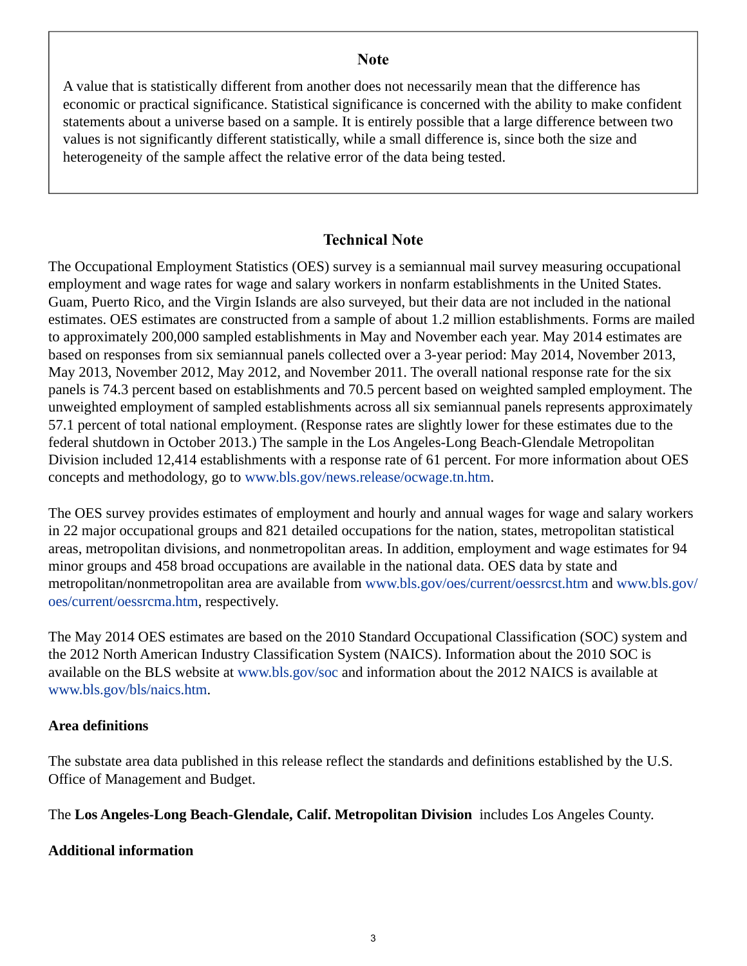## **Note**

<span id="page-2-0"></span>A value that is statistically different from another does not necessarily mean that the difference has economic or practical significance. Statistical significance is concerned with the ability to make confident statements about a universe based on a sample. It is entirely possible that a large difference between two values is not significantly different statistically, while a small difference is, since both the size and heterogeneity of the sample affect the relative error of the data being tested.

## **Technical Note**

The Occupational Employment Statistics (OES) survey is a semiannual mail survey measuring occupational employment and wage rates for wage and salary workers in nonfarm establishments in the United States. Guam, Puerto Rico, and the Virgin Islands are also surveyed, but their data are not included in the national estimates. OES estimates are constructed from a sample of about 1.2 million establishments. Forms are mailed to approximately 200,000 sampled establishments in May and November each year. May 2014 estimates are based on responses from six semiannual panels collected over a 3-year period: May 2014, November 2013, May 2013, November 2012, May 2012, and November 2011. The overall national response rate for the six panels is 74.3 percent based on establishments and 70.5 percent based on weighted sampled employment. The unweighted employment of sampled establishments across all six semiannual panels represents approximately 57.1 percent of total national employment. (Response rates are slightly lower for these estimates due to the federal shutdown in October 2013.) The sample in the Los Angeles-Long Beach-Glendale Metropolitan Division included 12,414 establishments with a response rate of 61 percent. For more information about OES concepts and methodology, go to [www.bls.gov/news.release/ocwage.tn.htm](https://www.bls.gov/news.release/ocwage.tn.htm).

The OES survey provides estimates of employment and hourly and annual wages for wage and salary workers in 22 major occupational groups and 821 detailed occupations for the nation, states, metropolitan statistical areas, metropolitan divisions, and nonmetropolitan areas. In addition, employment and wage estimates for 94 minor groups and 458 broad occupations are available in the national data. OES data by state and metropolitan/nonmetropolitan area are available from [www.bls.gov/oes/current/oessrcst.htm](https://www.bls.gov/oes/current/oessrcst.htm) and [www.bls.gov/](https://www.bls.gov/oes/current/oessrcma.htm) [oes/current/oessrcma.htm,](https://www.bls.gov/oes/current/oessrcma.htm) respectively.

The May 2014 OES estimates are based on the 2010 Standard Occupational Classification (SOC) system and the 2012 North American Industry Classification System (NAICS). Information about the 2010 SOC is available on the BLS website at [www.bls.gov/soc](https://www.bls.gov/soc) and information about the 2012 NAICS is available at [www.bls.gov/bls/naics.htm.](https://www.bls.gov/bls/naics.htm)

## **Area definitions**

The substate area data published in this release reflect the standards and definitions established by the U.S. Office of Management and Budget.

The **Los Angeles-Long Beach-Glendale, Calif. Metropolitan Division** includes Los Angeles County.

## **Additional information**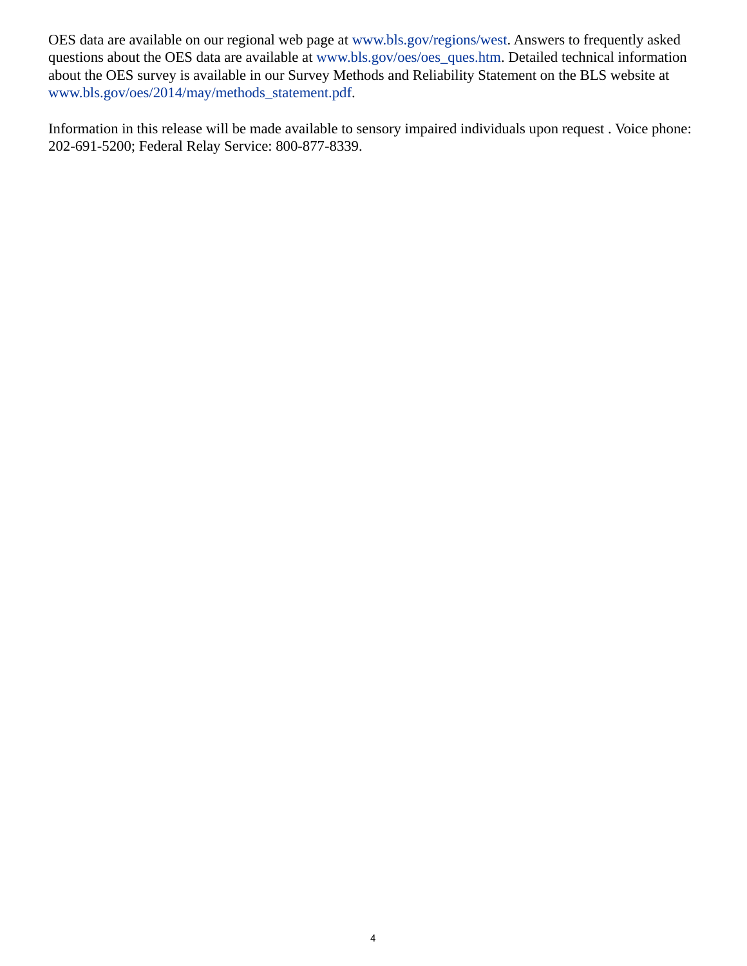OES data are available on our regional web page at [www.bls.gov/regions/west.](https://www.bls.gov/regions/west) Answers to frequently asked questions about the OES data are available at [www.bls.gov/oes/oes\\_ques.htm.](https://www.bls.gov/oes/oes_ques.htm) Detailed technical information about the OES survey is available in our Survey Methods and Reliability Statement on the BLS website at [www.bls.gov/oes/2014/may/methods\\_statement.pdf](https://www.bls.gov/oes/2014/may/methods_statement.pdf).

Information in this release will be made available to sensory impaired individuals upon request . Voice phone: 202-691-5200; Federal Relay Service: 800-877-8339.